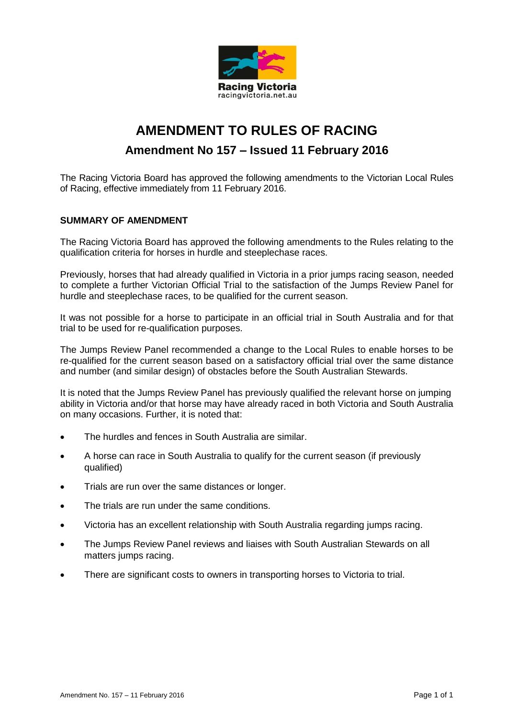

# **AMENDMENT TO RULES OF RACING Amendment No 157 – Issued 11 February 2016**

The Racing Victoria Board has approved the following amendments to the Victorian Local Rules of Racing, effective immediately from 11 February 2016.

#### **SUMMARY OF AMENDMENT**

The Racing Victoria Board has approved the following amendments to the Rules relating to the qualification criteria for horses in hurdle and steeplechase races.

Previously, horses that had already qualified in Victoria in a prior jumps racing season, needed to complete a further Victorian Official Trial to the satisfaction of the Jumps Review Panel for hurdle and steeplechase races, to be qualified for the current season.

It was not possible for a horse to participate in an official trial in South Australia and for that trial to be used for re-qualification purposes.

The Jumps Review Panel recommended a change to the Local Rules to enable horses to be re-qualified for the current season based on a satisfactory official trial over the same distance and number (and similar design) of obstacles before the South Australian Stewards.

It is noted that the Jumps Review Panel has previously qualified the relevant horse on jumping ability in Victoria and/or that horse may have already raced in both Victoria and South Australia on many occasions. Further, it is noted that:

- The hurdles and fences in South Australia are similar.
- A horse can race in South Australia to qualify for the current season (if previously qualified)
- Trials are run over the same distances or longer.
- The trials are run under the same conditions.
- Victoria has an excellent relationship with South Australia regarding jumps racing.
- The Jumps Review Panel reviews and liaises with South Australian Stewards on all matters jumps racing.
- There are significant costs to owners in transporting horses to Victoria to trial.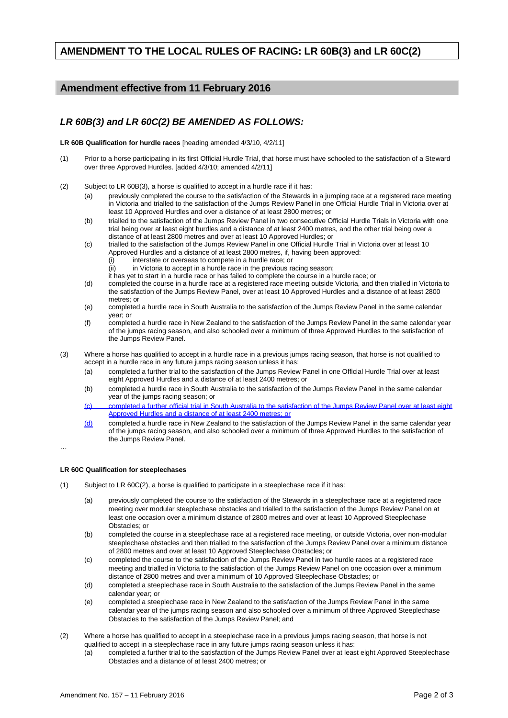## **AMENDMENT TO THE LOCAL RULES OF RACING: LR 60B(3) and LR 60C(2)**

### **Amendment effective from 11 February 2016**

### *LR 60B(3) and LR 60C(2) BE AMENDED AS FOLLOWS:*

**LR 60B Qualification for hurdle races** [heading amended 4/3/10, 4/2/11]

- (1) Prior to a horse participating in its first Official Hurdle Trial, that horse must have schooled to the satisfaction of a Steward over three Approved Hurdles. [added 4/3/10; amended 4/2/11]
- (2) Subject to LR 60B(3), a horse is qualified to accept in a hurdle race if it has:
	- (a) previously completed the course to the satisfaction of the Stewards in a jumping race at a registered race meeting in Victoria and trialled to the satisfaction of the Jumps Review Panel in one Official Hurdle Trial in Victoria over at least 10 Approved Hurdles and over a distance of at least 2800 metres; or
	- (b) trialled to the satisfaction of the Jumps Review Panel in two consecutive Official Hurdle Trials in Victoria with one trial being over at least eight hurdles and a distance of at least 2400 metres, and the other trial being over a distance of at least 2800 metres and over at least 10 Approved Hurdles; or
	- (c) trialled to the satisfaction of the Jumps Review Panel in one Official Hurdle Trial in Victoria over at least 10 Approved Hurdles and a distance of at least 2800 metres, if, having been approved:
		- (i) interstate or overseas to compete in a hurdle race; or<br>(ii) in Victoria to accept in a hurdle race in the previous ra
		- in Victoria to accept in a hurdle race in the previous racing season;
		- it has yet to start in a hurdle race or has failed to complete the course in a hurdle race; or
	- (d) completed the course in a hurdle race at a registered race meeting outside Victoria, and then trialled in Victoria to the satisfaction of the Jumps Review Panel, over at least 10 Approved Hurdles and a distance of at least 2800 metres; or
	- (e) completed a hurdle race in South Australia to the satisfaction of the Jumps Review Panel in the same calendar year; or
	- (f) completed a hurdle race in New Zealand to the satisfaction of the Jumps Review Panel in the same calendar year of the jumps racing season, and also schooled over a minimum of three Approved Hurdles to the satisfaction of the Jumps Review Panel.
- (3) Where a horse has qualified to accept in a hurdle race in a previous jumps racing season, that horse is not qualified to accept in a hurdle race in any future jumps racing season unless it has:
	- (a) completed a further trial to the satisfaction of the Jumps Review Panel in one Official Hurdle Trial over at least eight Approved Hurdles and a distance of at least 2400 metres; or
	- (b) completed a hurdle race in South Australia to the satisfaction of the Jumps Review Panel in the same calendar year of the jumps racing season; or
	- (c) completed a further official trial in South Australia to the satisfaction of the Jumps Review Panel over at least eight Approved Hurdles and a distance of at least 2400 metres; or
	- $(d)$  completed a hurdle race in New Zealand to the satisfaction of the Jumps Review Panel in the same calendar year of the jumps racing season, and also schooled over a minimum of three Approved Hurdles to the satisfaction of the Jumps Review Panel.

…

#### **LR 60C Qualification for steeplechases**

- (1) Subject to LR 60C(2), a horse is qualified to participate in a steeplechase race if it has:
	- (a) previously completed the course to the satisfaction of the Stewards in a steeplechase race at a registered race meeting over modular steeplechase obstacles and trialled to the satisfaction of the Jumps Review Panel on at least one occasion over a minimum distance of 2800 metres and over at least 10 Approved Steeplechase Obstacles; or
	- (b) completed the course in a steeplechase race at a registered race meeting, or outside Victoria, over non-modular steeplechase obstacles and then trialled to the satisfaction of the Jumps Review Panel over a minimum distance of 2800 metres and over at least 10 Approved Steeplechase Obstacles; or
	- (c) completed the course to the satisfaction of the Jumps Review Panel in two hurdle races at a registered race meeting and trialled in Victoria to the satisfaction of the Jumps Review Panel on one occasion over a minimum distance of 2800 metres and over a minimum of 10 Approved Steeplechase Obstacles; or
	- (d) completed a steeplechase race in South Australia to the satisfaction of the Jumps Review Panel in the same calendar year; or
	- (e) completed a steeplechase race in New Zealand to the satisfaction of the Jumps Review Panel in the same calendar year of the jumps racing season and also schooled over a minimum of three Approved Steeplechase Obstacles to the satisfaction of the Jumps Review Panel; and
- (2) Where a horse has qualified to accept in a steeplechase race in a previous jumps racing season, that horse is not qualified to accept in a steeplechase race in any future jumps racing season unless it has:
	- (a) completed a further trial to the satisfaction of the Jumps Review Panel over at least eight Approved Steeplechase Obstacles and a distance of at least 2400 metres; or